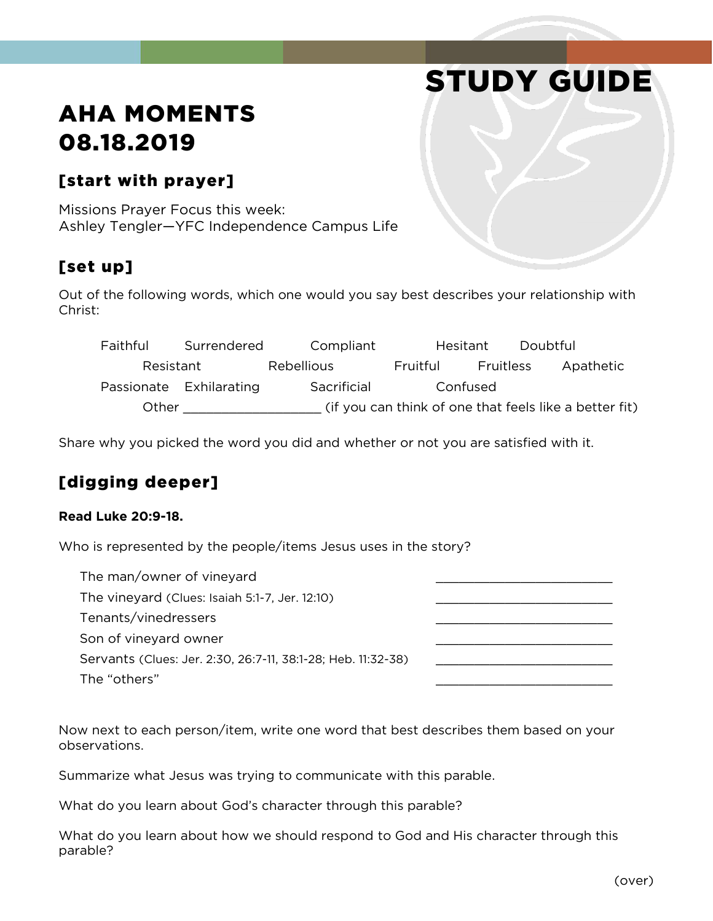# STUDY GUIDE

## AHA MOMENTS 08.18.2019

#### [start with prayer]

Missions Prayer Focus this week: Ashley Tengler—YFC Independence Campus Life

#### [set up]

Out of the following words, which one would you say best describes your relationship with Christ:

Faithful Surrendered Compliant Hesitant Doubtful Resistant Rebellious Fruitful Fruitless Apathetic Passionate Exhilarating Sacrificial Confused Other \_\_\_\_\_\_\_\_\_\_\_\_\_\_\_\_\_\_ (if you can think of one that feels like a better fit)

Share why you picked the word you did and whether or not you are satisfied with it.

### [digging deeper]

#### **Read Luke 20:9-18.**

Who is represented by the people/items Jesus uses in the story?

| The man/owner of vineyard                                    |  |
|--------------------------------------------------------------|--|
| The vineyard (Clues: Isaiah 5:1-7, Jer. 12:10)               |  |
| Tenants/vinedressers                                         |  |
| Son of vineyard owner                                        |  |
| Servants (Clues: Jer. 2:30, 26:7-11, 38:1-28; Heb. 11:32-38) |  |
| The "others"                                                 |  |

Now next to each person/item, write one word that best describes them based on your observations.

Summarize what Jesus was trying to communicate with this parable.

What do you learn about God's character through this parable?

What do you learn about how we should respond to God and His character through this parable?